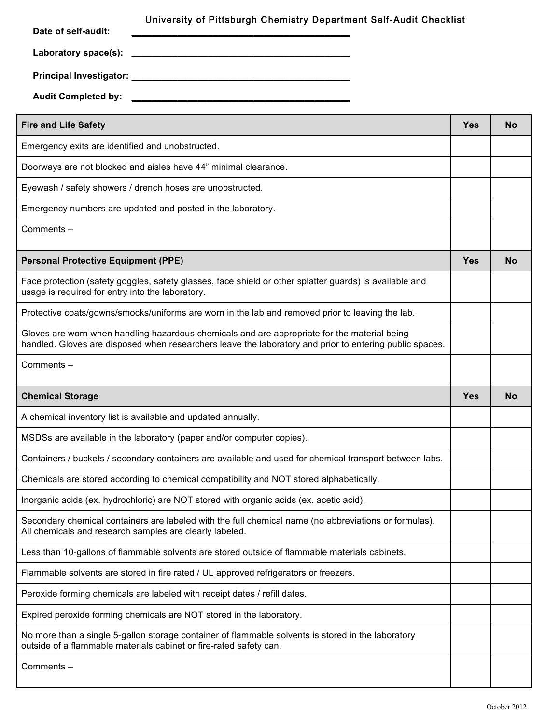| Date of self-audit:<br>Laboratory space(s):                  | University of Pittsburgh Chemistry Department Self-Audit Checklist                                                                                                                                      |            |           |
|--------------------------------------------------------------|---------------------------------------------------------------------------------------------------------------------------------------------------------------------------------------------------------|------------|-----------|
|                                                              |                                                                                                                                                                                                         |            |           |
| <b>Audit Completed by:</b>                                   |                                                                                                                                                                                                         |            |           |
| <b>Fire and Life Safety</b>                                  |                                                                                                                                                                                                         | Yes        | <b>No</b> |
| Emergency exits are identified and unobstructed.             |                                                                                                                                                                                                         |            |           |
|                                                              | Doorways are not blocked and aisles have 44" minimal clearance.                                                                                                                                         |            |           |
|                                                              | Eyewash / safety showers / drench hoses are unobstructed.                                                                                                                                               |            |           |
|                                                              | Emergency numbers are updated and posted in the laboratory.                                                                                                                                             |            |           |
| Comments -                                                   |                                                                                                                                                                                                         |            |           |
| <b>Personal Protective Equipment (PPE)</b>                   |                                                                                                                                                                                                         | <b>Yes</b> | <b>No</b> |
| usage is required for entry into the laboratory.             | Face protection (safety goggles, safety glasses, face shield or other splatter guards) is available and                                                                                                 |            |           |
|                                                              | Protective coats/gowns/smocks/uniforms are worn in the lab and removed prior to leaving the lab.                                                                                                        |            |           |
|                                                              | Gloves are worn when handling hazardous chemicals and are appropriate for the material being<br>handled. Gloves are disposed when researchers leave the laboratory and prior to entering public spaces. |            |           |
| Comments -                                                   |                                                                                                                                                                                                         |            |           |
| <b>Chemical Storage</b>                                      |                                                                                                                                                                                                         | Yes        | <b>No</b> |
| A chemical inventory list is available and updated annually. |                                                                                                                                                                                                         |            |           |
|                                                              | MSDSs are available in the laboratory (paper and/or computer copies).                                                                                                                                   |            |           |
|                                                              | Containers / buckets / secondary containers are available and used for chemical transport between labs.                                                                                                 |            |           |
|                                                              | Chemicals are stored according to chemical compatibility and NOT stored alphabetically.                                                                                                                 |            |           |
|                                                              | Inorganic acids (ex. hydrochloric) are NOT stored with organic acids (ex. acetic acid).                                                                                                                 |            |           |
|                                                              | Secondary chemical containers are labeled with the full chemical name (no abbreviations or formulas).<br>All chemicals and research samples are clearly labeled.                                        |            |           |
|                                                              | Less than 10-gallons of flammable solvents are stored outside of flammable materials cabinets.                                                                                                          |            |           |
|                                                              | Flammable solvents are stored in fire rated / UL approved refrigerators or freezers.                                                                                                                    |            |           |
|                                                              | Peroxide forming chemicals are labeled with receipt dates / refill dates.                                                                                                                               |            |           |
|                                                              | Expired peroxide forming chemicals are NOT stored in the laboratory.                                                                                                                                    |            |           |
|                                                              | No more than a single 5-gallon storage container of flammable solvents is stored in the laboratory<br>outside of a flammable materials cabinet or fire-rated safety can.                                |            |           |
| Comments -                                                   |                                                                                                                                                                                                         |            |           |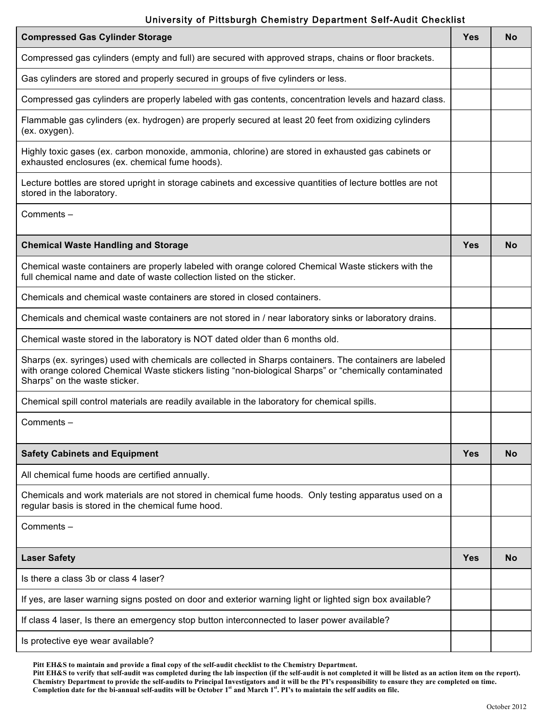## University of Pittsburgh Chemistry Department Self-Audit Checklist

| <b>Compressed Gas Cylinder Storage</b>                                                                                                                                                                                                               | <b>Yes</b> | No |
|------------------------------------------------------------------------------------------------------------------------------------------------------------------------------------------------------------------------------------------------------|------------|----|
| Compressed gas cylinders (empty and full) are secured with approved straps, chains or floor brackets.                                                                                                                                                |            |    |
| Gas cylinders are stored and properly secured in groups of five cylinders or less.                                                                                                                                                                   |            |    |
| Compressed gas cylinders are properly labeled with gas contents, concentration levels and hazard class.                                                                                                                                              |            |    |
| Flammable gas cylinders (ex. hydrogen) are properly secured at least 20 feet from oxidizing cylinders<br>(ex. oxygen).                                                                                                                               |            |    |
| Highly toxic gases (ex. carbon monoxide, ammonia, chlorine) are stored in exhausted gas cabinets or<br>exhausted enclosures (ex. chemical fume hoods).                                                                                               |            |    |
| Lecture bottles are stored upright in storage cabinets and excessive quantities of lecture bottles are not<br>stored in the laboratory.                                                                                                              |            |    |
| Comments-                                                                                                                                                                                                                                            |            |    |
| <b>Chemical Waste Handling and Storage</b>                                                                                                                                                                                                           | <b>Yes</b> | No |
| Chemical waste containers are properly labeled with orange colored Chemical Waste stickers with the<br>full chemical name and date of waste collection listed on the sticker.                                                                        |            |    |
| Chemicals and chemical waste containers are stored in closed containers.                                                                                                                                                                             |            |    |
| Chemicals and chemical waste containers are not stored in / near laboratory sinks or laboratory drains.                                                                                                                                              |            |    |
| Chemical waste stored in the laboratory is NOT dated older than 6 months old.                                                                                                                                                                        |            |    |
| Sharps (ex. syringes) used with chemicals are collected in Sharps containers. The containers are labeled<br>with orange colored Chemical Waste stickers listing "non-biological Sharps" or "chemically contaminated<br>Sharps" on the waste sticker. |            |    |
| Chemical spill control materials are readily available in the laboratory for chemical spills.                                                                                                                                                        |            |    |
| Comments-                                                                                                                                                                                                                                            |            |    |
| <b>Safety Cabinets and Equipment</b>                                                                                                                                                                                                                 | Yes        | No |
| All chemical fume hoods are certified annually.                                                                                                                                                                                                      |            |    |
| Chemicals and work materials are not stored in chemical fume hoods. Only testing apparatus used on a<br>regular basis is stored in the chemical fume hood.                                                                                           |            |    |
| Comments-                                                                                                                                                                                                                                            |            |    |
| <b>Laser Safety</b>                                                                                                                                                                                                                                  | <b>Yes</b> | No |
| Is there a class 3b or class 4 laser?                                                                                                                                                                                                                |            |    |
| If yes, are laser warning signs posted on door and exterior warning light or lighted sign box available?                                                                                                                                             |            |    |
| If class 4 laser, Is there an emergency stop button interconnected to laser power available?                                                                                                                                                         |            |    |
| Is protective eye wear available?                                                                                                                                                                                                                    |            |    |

**Pitt EH&S to maintain and provide a final copy of the self-audit checklist to the Chemistry Department.** 

**Pitt EH&S to verify that self-audit was completed during the lab inspection (if the self-audit is not completed it will be listed as an action item on the report). Chemistry Department to provide the self-audits to Principal Investigators and it will be the PI's responsibility to ensure they are completed on time. Completion date for the bi-annual self-audits will be October 1st and March 1st. PI's to maintain the self audits on file.**